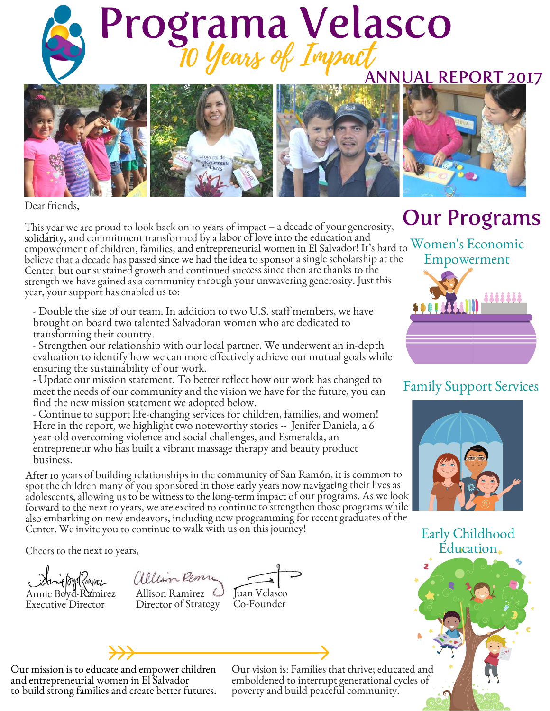



Dear friends,

This year we are proud to look back on 10 years of impact – a decade of your generosity, solidarity, and commitment transformed by a labor of love into the education and sondarity, and commitment transformed by a fabor of love filto the education and<br>empowerment of children, families, and entrepreneurial women in El Salvador! It's hard to Women's Economic believe that a decade has passed since we had the idea to sponsor a single scholarship at the Center, but our sustained growth and continued success since then are thanks to the strength we have gained as a community through your unwavering generosity. Just this year, your support has enabled us to:

- Double the size of our team. In addition to two U.S. staff members, we have brought on board two talented Salvadoran women who are dedicated to transforming their country.

- Strengthen our relationship with our local partner. We underwent an in-depth evaluation to identify how we can more effectively achieve our mutual goals while ensuring the sustainability of our work.

- Update our mission statement. To better reflect how our work has changed to meet the needs of our community and the vision we have for the future, you can find the new mission statement we adopted below.

- Continue to support life-changing services for children, families, and women! Here in the report, we highlight two noteworthy stories -- Jenifer Daniela, a 6 year-old overcoming violence and social challenges, and Esmeralda, an entrepreneur who has built a vibrant massage therapy and beauty product business.

After 10 years of building relationships in the community of San Ramón, it is common to spot the children many of you sponsored in those early years now navigating their lives as adolescents, allowing us to be witness to the long-term impact of our programs. As we look forward to the next 10 years, we are excited to continue to strengthen those programs while also embarking on new endeavors, including new programming for recent graduates of the Center. We invite you to continue to walk with us on this journey!

Cheers to the next 10 years,



allison Rem Annie Boyd-Ramirez Allison Ramirez Juan Velasco Executive Director Director of Strategy Co-Founder

### Our Programs



#### Family Support Services



Early Childhood Education



Our mission is to educate and empower children and entrepreneurial women in El Salvador to build strong families and create better futures.

Our vision is: Families that thrive; educated and emboldened to interrupt generational cycles of poverty and build peaceful community.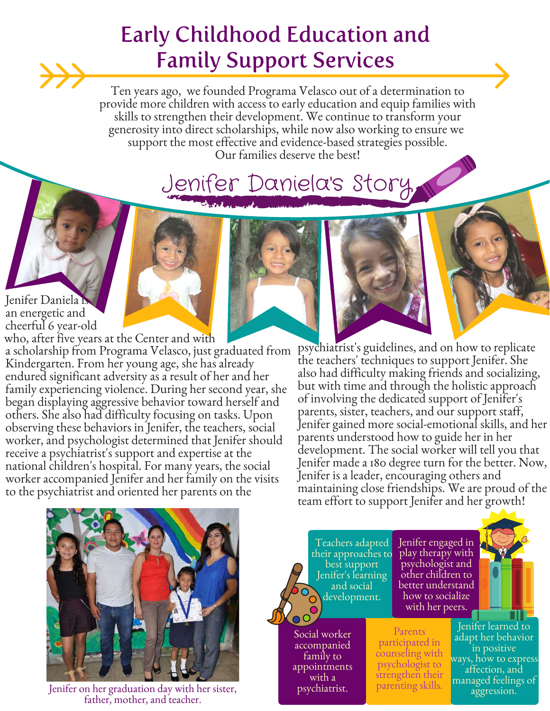#### Early Childhood Education and Family Support Services

Ten years ago, we founded Programa Velasco out of a determination to provide more children with access to early education and equip families with skills to strengthen their development. We continue to transform your generosity into direct scholarships, while now also working to ensure we support the most effective and evidence-based strategies possible. Our families deserve the best!

# Jenifer Daniela's Story

Jenifer Daniela is an energetic and cheerful 6 year-old

a scholarship from Programa Velasco, just graduated from Kindergarten. From her young age, she has already endured significant adversity as a result of her and her family experiencing violence. During her second year, she began displaying aggressive behavior toward herself and others. She also had difficulty focusing on tasks. Upon observing these behaviors in Jenifer, the teachers, social worker, and psychologist determined that Jenifer should receive a psychiatrist's support and expertise at the national children's hospital. For many years, the social worker accompanied Jenifer and her family on the visits to the psychiatrist and oriented her parents on the who, after five years at the Center and with

psychiatrist's guidelines, and on how to replicate the teachers' techniques to support Jenifer. She also had difficulty making friends and socializing, but with time and through the holistic approach of involving the dedicated support of Jenifer's parents, sister, teachers, and our support staff, Jenifer gained more social-emotional skills, and her parents understood how to guide her in her development. The social worker will tell you that Jenifer made a 180 degree turn for the better. Now, Jenifer is a leader, encouraging others and maintaining close friendships. We are proud of the team effort to support Jenifer and her growth!



Jenifer on her graduation day with her sister, father, mother, and teacher.

Teachers adapted their approaches to best support Jenifer's learning and social development.

Social worker accompanied family to appointments with a psychiatrist.

Jenifer engaged in play therapy with psychologist and other children to better understand how to socialize with her peers.

Parents participated in counseling with psychologist to strengthen their parenting skills.

Jenifer learned to adapt her behavior in positive ways, how to express affection, and managed feelings of aggression.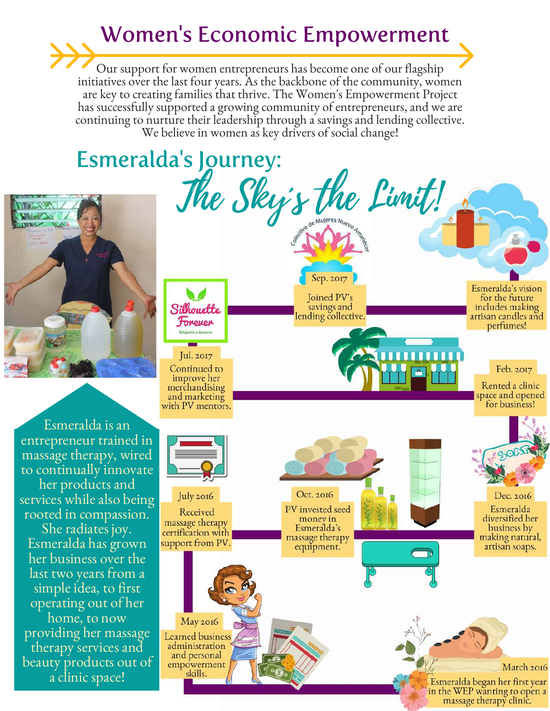#### Women's Economic Empowerment

Our support for women entrepreneurs has become one of our flagship initiatives over the last four years. As the backbone of the community, women are key to creating families that thrive. The Women's Empowerment Project has successfully supported a growing community of entrepreneurs, and we are continuing to nurture their leadership through a savings and lending collective. We believe in women as key drivers of social change!

# Esmeralda's Journey:



Esmeralda is an entrepreneur trained in massage therapy, wired to continually innovate her products and services while also being rooted in compassion.

She radiates joy. Esmeralda has grown her business over the last two years from a simple idea, to first operating out of her home, to now providing her massage therapy services and beauty products out of a clinic space!